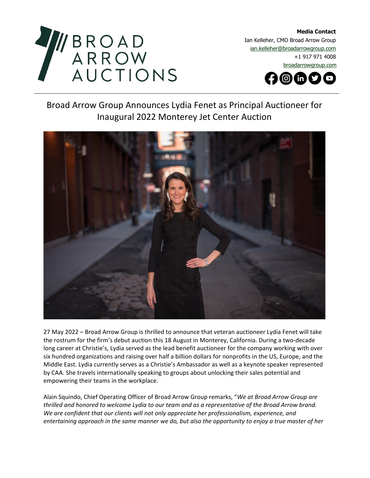

**Media Contact**  Ian Kelleher, CMO Broad Arrow Group [ian.kelleher@broadarrowgroup.com](mailto:ian.kelleher@broadarrowgroup.com)  +1 917 971 4008 [broadarrowgroup.com](http://www.broadarrowgroup.com/)

 $\odot$ m $\odot$   $\odot$ 

## Broad Arrow Group Announces Lydia Fenet as Principal Auctioneer for Inaugural 2022 Monterey Jet Center Auction



27 May 2022 – Broad Arrow Group is thrilled to announce that veteran auctioneer Lydia Fenet will take the rostrum for the firm's debut auction this 18 August in Monterey, California. During a two-decade long career at Christie's, Lydia served as the lead benefit auctioneer for the company working with over six hundred organizations and raising over half a billion dollars for nonprofits in the US, Europe, and the Middle East. Lydia currently serves as a Christie's Ambassador as well as a keynote speaker represented by CAA. She travels internationally speaking to groups about unlocking their sales potential and empowering their teams in the workplace.

Alain Squindo, Chief Operating Officer of Broad Arrow Group remarks, "*We at Broad Arrow Group are thrilled and honored to welcome Lydia to our team and as a representative of the Broad Arrow brand. We are confident that our clients will not only appreciate her professionalism, experience, and entertaining approach in the same manner we do, but also the opportunity to enjoy a true master of her*